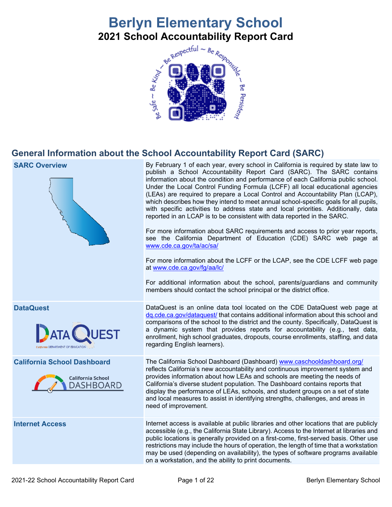# **Berlyn Elementary School 2021 School Accountability Report Card**<br>**Report School Accountability Report Card**



# **General Information about the School Accountability Report Card (SARC)**

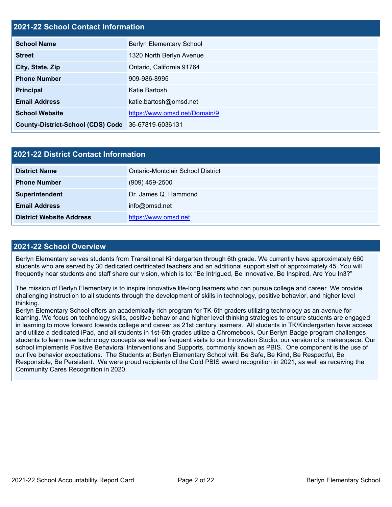# **2021-22 School Contact Information**

| <b>School Name</b>                                 | <b>Berlyn Elementary School</b> |
|----------------------------------------------------|---------------------------------|
| <b>Street</b>                                      | 1320 North Berlyn Avenue        |
| City, State, Zip                                   | Ontario, California 91764       |
| <b>Phone Number</b>                                | 909-986-8995                    |
| <b>Principal</b>                                   | Katie Bartosh                   |
| <b>Email Address</b>                               | katie.bartosh@omsd.net          |
| <b>School Website</b>                              | https://www.omsd.net/Domain/9   |
| County-District-School (CDS) Code 36-67819-6036131 |                                 |

| <b>2021-22 District Contact Information</b> |                                   |  |  |  |
|---------------------------------------------|-----------------------------------|--|--|--|
| <b>District Name</b>                        | Ontario-Montclair School District |  |  |  |
| <b>Phone Number</b>                         | $(909)$ 459-2500                  |  |  |  |
| Superintendent                              | Dr. James Q. Hammond              |  |  |  |
| <b>Email Address</b>                        | info@omsd.net                     |  |  |  |
| <b>District Website Address</b>             | https://www.omsd.net              |  |  |  |

### **2021-22 School Overview**

Berlyn Elementary serves students from Transitional Kindergarten through 6th grade. We currently have approximately 660 students who are served by 30 dedicated certificated teachers and an additional support staff of approximately 45. You will frequently hear students and staff share our vision, which is to: "Be Intrigued, Be Innovative, Be Inspired, Are You In3?"

The mission of Berlyn Elementary is to inspire innovative life-long learners who can pursue college and career. We provide challenging instruction to all students through the development of skills in technology, positive behavior, and higher level thinking.

Berlyn Elementary School offers an academically rich program for TK-6th graders utilizing technology as an avenue for learning. We focus on technology skills, positive behavior and higher level thinking strategies to ensure students are engaged in learning to move forward towards college and career as 21st century learners. All students in TK/Kindergarten have access and utilize a dedicated iPad, and all students in 1st-6th grades utilize a Chromebook. Our Berlyn Badge program challenges students to learn new technology concepts as well as frequent visits to our Innovation Studio, our version of a makerspace. Our school implements Positive Behavioral Interventions and Supports, commonly known as PBIS. One component is the use of our five behavior expectations. The Students at Berlyn Elementary School will: Be Safe, Be Kind, Be Respectful, Be Responsible, Be Persistent. We were proud recipients of the Gold PBIS award recognition in 2021, as well as receiving the Community Cares Recognition in 2020.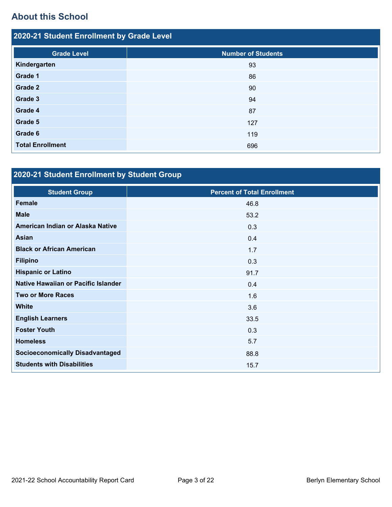# **About this School**

| 2020-21 Student Enrollment by Grade Level |                           |  |  |  |
|-------------------------------------------|---------------------------|--|--|--|
| <b>Grade Level</b>                        | <b>Number of Students</b> |  |  |  |
| Kindergarten                              | 93                        |  |  |  |
| Grade 1                                   | 86                        |  |  |  |
| Grade 2                                   | 90                        |  |  |  |
| Grade 3                                   | 94                        |  |  |  |
| Grade 4                                   | 87                        |  |  |  |
| Grade 5                                   | 127                       |  |  |  |
| Grade 6                                   | 119                       |  |  |  |
| <b>Total Enrollment</b>                   | 696                       |  |  |  |

# **2020-21 Student Enrollment by Student Group**

| <b>Student Group</b>                   | <b>Percent of Total Enrollment</b> |
|----------------------------------------|------------------------------------|
| <b>Female</b>                          | 46.8                               |
| <b>Male</b>                            | 53.2                               |
| American Indian or Alaska Native       | 0.3                                |
| Asian                                  | 0.4                                |
| <b>Black or African American</b>       | 1.7                                |
| <b>Filipino</b>                        | 0.3                                |
| <b>Hispanic or Latino</b>              | 91.7                               |
| Native Hawaiian or Pacific Islander    | 0.4                                |
| <b>Two or More Races</b>               | 1.6                                |
| <b>White</b>                           | 3.6                                |
| <b>English Learners</b>                | 33.5                               |
| <b>Foster Youth</b>                    | 0.3                                |
| <b>Homeless</b>                        | 5.7                                |
| <b>Socioeconomically Disadvantaged</b> | 88.8                               |
| <b>Students with Disabilities</b>      | 15.7                               |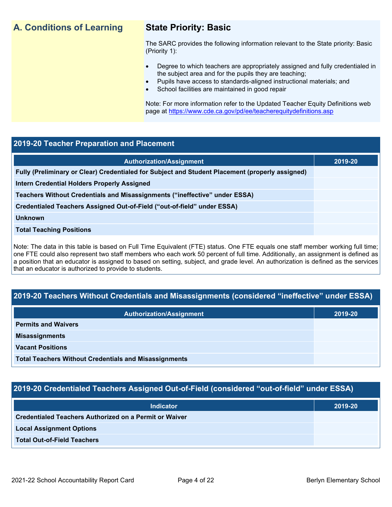# **A. Conditions of Learning State Priority: Basic**

The SARC provides the following information relevant to the State priority: Basic (Priority 1):

- Degree to which teachers are appropriately assigned and fully credentialed in the subject area and for the pupils they are teaching;
	- Pupils have access to standards-aligned instructional materials; and
- School facilities are maintained in good repair

Note: For more information refer to the Updated Teacher Equity Definitions web page at<https://www.cde.ca.gov/pd/ee/teacherequitydefinitions.asp>

# **2019-20 Teacher Preparation and Placement**

| <b>Authorization/Assignment</b>                                                                 | 2019-20 |
|-------------------------------------------------------------------------------------------------|---------|
| Fully (Preliminary or Clear) Credentialed for Subject and Student Placement (properly assigned) |         |
| Intern Credential Holders Properly Assigned                                                     |         |
| Teachers Without Credentials and Misassignments ("ineffective" under ESSA)                      |         |
| Credentialed Teachers Assigned Out-of-Field ("out-of-field" under ESSA)                         |         |
| <b>Unknown</b>                                                                                  |         |
| <b>Total Teaching Positions</b>                                                                 |         |
|                                                                                                 |         |

Note: The data in this table is based on Full Time Equivalent (FTE) status. One FTE equals one staff member working full time; one FTE could also represent two staff members who each work 50 percent of full time. Additionally, an assignment is defined as a position that an educator is assigned to based on setting, subject, and grade level. An authorization is defined as the services that an educator is authorized to provide to students.

# **2019-20 Teachers Without Credentials and Misassignments (considered "ineffective" under ESSA)**

| <b>Authorization/Assignment</b>                              | 2019-20 |
|--------------------------------------------------------------|---------|
| <b>Permits and Waivers</b>                                   |         |
| <b>Misassignments</b>                                        |         |
| <b>Vacant Positions</b>                                      |         |
| <b>Total Teachers Without Credentials and Misassignments</b> |         |

# **2019-20 Credentialed Teachers Assigned Out-of-Field (considered "out-of-field" under ESSA)**

| <b>Indicator</b>                                              | 2019-20 |
|---------------------------------------------------------------|---------|
| <b>Credentialed Teachers Authorized on a Permit or Waiver</b> |         |
| <b>Local Assignment Options</b>                               |         |
| <b>Total Out-of-Field Teachers</b>                            |         |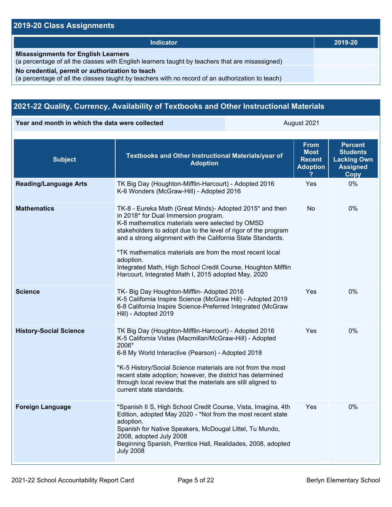# **2019-20 Class Assignments**

| Indicator                                                                                                                                           | 2019-20 |
|-----------------------------------------------------------------------------------------------------------------------------------------------------|---------|
| <b>Misassignments for English Learners</b><br>(a percentage of all the classes with English learners taught by teachers that are misassigned)       |         |
| No credential, permit or authorization to teach<br>(a percentage of all the classes taught by teachers with no record of an authorization to teach) |         |

# **2021-22 Quality, Currency, Availability of Textbooks and Other Instructional Materials**

**Year and month in which the data were collected August 2021** August 2021

| <b>Subject</b>                | Textbooks and Other Instructional Materials/year of<br><b>Adoption</b>                                                                                                                                                                                                                                                                                                                                                                                                               | <b>From</b><br><b>Most</b><br><b>Recent</b><br><b>Adoption</b> | <b>Percent</b><br><b>Students</b><br><b>Lacking Own</b><br><b>Assigned</b><br>Copy |
|-------------------------------|--------------------------------------------------------------------------------------------------------------------------------------------------------------------------------------------------------------------------------------------------------------------------------------------------------------------------------------------------------------------------------------------------------------------------------------------------------------------------------------|----------------------------------------------------------------|------------------------------------------------------------------------------------|
| <b>Reading/Language Arts</b>  | TK Big Day (Houghton-Mifflin-Harcourt) - Adopted 2016<br>K-6 Wonders (McGraw-Hill) - Adopted 2016                                                                                                                                                                                                                                                                                                                                                                                    | Yes                                                            | 0%                                                                                 |
| <b>Mathematics</b>            | TK-8 - Eureka Math (Great Minds)- Adopted 2015* and then<br>in 2018* for Dual Immersion program.<br>K-8 mathematics materials were selected by OMSD<br>stakeholders to adopt due to the level of rigor of the program<br>and a strong alignment with the California State Standards.<br>*TK mathematics materials are from the most recent local<br>adoption.<br>Integrated Math, High School Credit Course, Houghton Mifflin<br>Harcourt, Integrated Math I, 2015 adopted May, 2020 | No                                                             | 0%                                                                                 |
| <b>Science</b>                | TK- Big Day Houghton-Mifflin- Adopted 2016<br>K-5 California Inspire Science (McGraw Hill) - Adopted 2019<br>6-8 California Inspire Science-Preferred Integrated (McGraw<br>Hill) - Adopted 2019                                                                                                                                                                                                                                                                                     | Yes                                                            | 0%                                                                                 |
| <b>History-Social Science</b> | TK Big Day (Houghton-Mifflin-Harcourt) - Adopted 2016<br>K-5 California Vistas (Macmillan/McGraw-Hill) - Adopted<br>2006*<br>6-8 My World Interactive (Pearson) - Adopted 2018<br>*K-5 History/Social Science materials are not from the most<br>recent state adoption; however, the district has determined<br>through local review that the materials are still aligned to<br>current state standards.                                                                             | Yes                                                            | $0\%$                                                                              |
| <b>Foreign Language</b>       | *Spanish II S, High School Credit Course, Vista, Imagina, 4th<br>Edition, adopted May 2020 - *Not from the most recent state<br>adoption.<br>Spanish for Native Speakers, McDougal Littel, Tu Mundo,<br>2008, adopted July 2008<br>Beginning Spanish, Prentice Hall, Realidades, 2008, adopted<br><b>July 2008</b>                                                                                                                                                                   | Yes                                                            | 0%                                                                                 |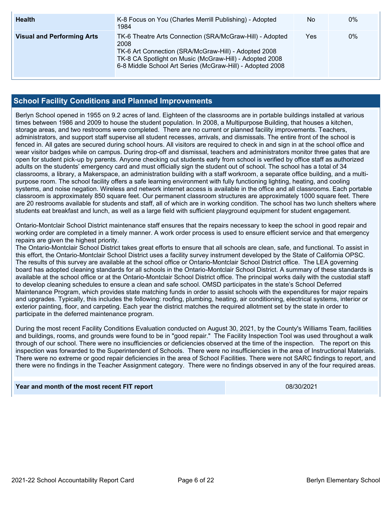| <b>Health</b>                     | K-8 Focus on You (Charles Merrill Publishing) - Adopted<br>1984                                                                                                                                                                                  | No  | $0\%$ |
|-----------------------------------|--------------------------------------------------------------------------------------------------------------------------------------------------------------------------------------------------------------------------------------------------|-----|-------|
| <b>Visual and Performing Arts</b> | TK-6 Theatre Arts Connection (SRA/McGraw-Hill) - Adopted<br>2008<br>TK-6 Art Connection (SRA/McGraw-Hill) - Adopted 2008<br>TK-8 CA Spotlight on Music (McGraw-Hill) - Adopted 2008<br>6-8 Middle School Art Series (McGraw-Hill) - Adopted 2008 | Yes | 0%    |

# **School Facility Conditions and Planned Improvements**

Berlyn School opened in 1955 on 9.2 acres of land. Eighteen of the classrooms are in portable buildings installed at various times between 1986 and 2009 to house the student population. In 2008, a Multipurpose Building, that houses a kitchen, storage areas, and two restrooms were completed. There are no current or planned facility improvements. Teachers, administrators, and support staff supervise all student recesses, arrivals, and dismissals. The entire front of the school is fenced in. All gates are secured during school hours. All visitors are required to check in and sign in at the school office and wear visitor badges while on campus. During drop-off and dismissal, teachers and administrators monitor three gates that are open for student pick-up by parents. Anyone checking out students early from school is verified by office staff as authorized adults on the students' emergency card and must officially sign the student out of school. The school has a total of 34 classrooms, a library, a Makerspace, an administration building with a staff workroom, a separate office building, and a multipurpose room. The school facility offers a safe learning environment with fully functioning lighting, heating, and cooling systems, and noise negation. Wireless and network internet access is available in the office and all classrooms. Each portable classroom is approximately 850 square feet. Our permanent classroom structures are approximately 1000 square feet. There are 20 restrooms available for students and staff, all of which are in working condition. The school has two lunch shelters where students eat breakfast and lunch, as well as a large field with sufficient playground equipment for student engagement.

Ontario-Montclair School District maintenance staff ensures that the repairs necessary to keep the school in good repair and working order are completed in a timely manner. A work order process is used to ensure efficient service and that emergency repairs are given the highest priority.

The Ontario-Montclair School District takes great efforts to ensure that all schools are clean, safe, and functional. To assist in this effort, the Ontario-Montclair School District uses a facility survey instrument developed by the State of California OPSC. The results of this survey are available at the school office or Ontario-Montclair School District office. The LEA governing board has adopted cleaning standards for all schools in the Ontario-Montclair School District. A summary of these standards is available at the school office or at the Ontario-Montclair School District office. The principal works daily with the custodial staff to develop cleaning schedules to ensure a clean and safe school. OMSD participates in the state's School Deferred Maintenance Program, which provides state matching funds in order to assist schools with the expenditures for major repairs and upgrades. Typically, this includes the following: roofing, plumbing, heating, air conditioning, electrical systems, interior or exterior painting, floor, and carpeting. Each year the district matches the required allotment set by the state in order to participate in the deferred maintenance program.

During the most recent Facility Conditions Evaluation conducted on August 30, 2021, by the County's Williams Team, facilities and buildings, rooms, and grounds were found to be in "good repair." The Facility Inspection Tool was used throughout a walk through of our school. There were no insufficiencies or deficiencies observed at the time of the inspection. The report on this inspection was forwarded to the Superintendent of Schools. There were no insufficiencies in the area of Instructional Materials. There were no extreme or good repair deficiencies in the area of School Facilities. There were not SARC findings to report, and there were no findings in the Teacher Assignment category. There were no findings observed in any of the four required areas.

### **Year and month of the most recent FIT report** 08/30/2021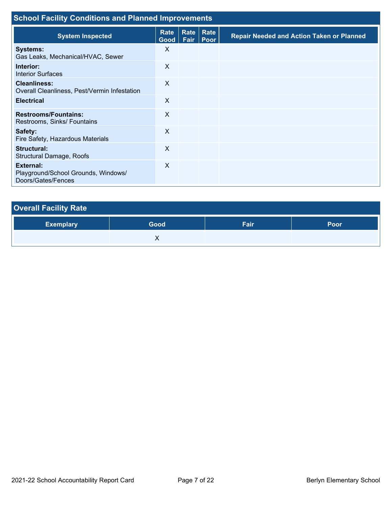| <b>School Facility Conditions and Planned Improvements</b>                    |                           |              |                     |                                                  |  |
|-------------------------------------------------------------------------------|---------------------------|--------------|---------------------|--------------------------------------------------|--|
| <b>System Inspected</b>                                                       | Rate<br>Good <sub>1</sub> | Rate<br>Fair | Rate<br><b>Poor</b> | <b>Repair Needed and Action Taken or Planned</b> |  |
| <b>Systems:</b><br>Gas Leaks, Mechanical/HVAC, Sewer                          | X                         |              |                     |                                                  |  |
| Interior:<br><b>Interior Surfaces</b>                                         | X                         |              |                     |                                                  |  |
| <b>Cleanliness:</b><br>Overall Cleanliness, Pest/Vermin Infestation           | X                         |              |                     |                                                  |  |
| <b>Electrical</b>                                                             | X                         |              |                     |                                                  |  |
| <b>Restrooms/Fountains:</b><br>Restrooms, Sinks/ Fountains                    | X                         |              |                     |                                                  |  |
| Safety:<br>Fire Safety, Hazardous Materials                                   | X                         |              |                     |                                                  |  |
| Structural:<br>Structural Damage, Roofs                                       | X                         |              |                     |                                                  |  |
| <b>External:</b><br>Playground/School Grounds, Windows/<br>Doors/Gates/Fences | X                         |              |                     |                                                  |  |

| <b>Overall Facility Rate</b> |      |      |      |  |  |  |
|------------------------------|------|------|------|--|--|--|
| <b>Exemplary</b>             | Good | Fair | Poor |  |  |  |
|                              |      |      |      |  |  |  |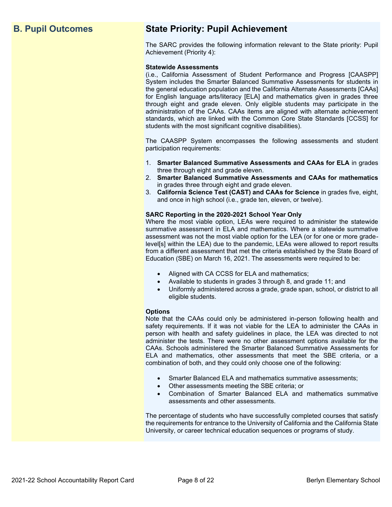# **B. Pupil Outcomes State Priority: Pupil Achievement**

The SARC provides the following information relevant to the State priority: Pupil Achievement (Priority 4):

### **Statewide Assessments**

(i.e., California Assessment of Student Performance and Progress [CAASPP] System includes the Smarter Balanced Summative Assessments for students in the general education population and the California Alternate Assessments [CAAs] for English language arts/literacy [ELA] and mathematics given in grades three through eight and grade eleven. Only eligible students may participate in the administration of the CAAs. CAAs items are aligned with alternate achievement standards, which are linked with the Common Core State Standards [CCSS] for students with the most significant cognitive disabilities).

The CAASPP System encompasses the following assessments and student participation requirements:

- 1. **Smarter Balanced Summative Assessments and CAAs for ELA** in grades three through eight and grade eleven.
- 2. **Smarter Balanced Summative Assessments and CAAs for mathematics** in grades three through eight and grade eleven.
- 3. **California Science Test (CAST) and CAAs for Science** in grades five, eight, and once in high school (i.e., grade ten, eleven, or twelve).

### **SARC Reporting in the 2020-2021 School Year Only**

Where the most viable option, LEAs were required to administer the statewide summative assessment in ELA and mathematics. Where a statewide summative assessment was not the most viable option for the LEA (or for one or more gradelevel[s] within the LEA) due to the pandemic, LEAs were allowed to report results from a different assessment that met the criteria established by the State Board of Education (SBE) on March 16, 2021. The assessments were required to be:

- Aligned with CA CCSS for ELA and mathematics;
- Available to students in grades 3 through 8, and grade 11; and
- Uniformly administered across a grade, grade span, school, or district to all eligible students.

### **Options**

Note that the CAAs could only be administered in-person following health and safety requirements. If it was not viable for the LEA to administer the CAAs in person with health and safety guidelines in place, the LEA was directed to not administer the tests. There were no other assessment options available for the CAAs. Schools administered the Smarter Balanced Summative Assessments for ELA and mathematics, other assessments that meet the SBE criteria, or a combination of both, and they could only choose one of the following:

- Smarter Balanced ELA and mathematics summative assessments;
- Other assessments meeting the SBE criteria; or
- Combination of Smarter Balanced ELA and mathematics summative assessments and other assessments.

The percentage of students who have successfully completed courses that satisfy the requirements for entrance to the University of California and the California State University, or career technical education sequences or programs of study.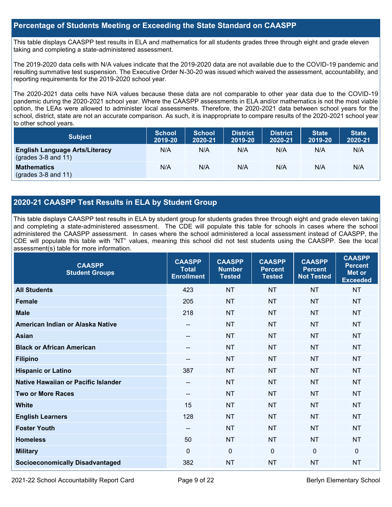# **Percentage of Students Meeting or Exceeding the State Standard on CAASPP**

This table displays CAASPP test results in ELA and mathematics for all students grades three through eight and grade eleven taking and completing a state-administered assessment.

The 2019-2020 data cells with N/A values indicate that the 2019-2020 data are not available due to the COVID-19 pandemic and resulting summative test suspension. The Executive Order N-30-20 was issued which waived the assessment, accountability, and reporting requirements for the 2019-2020 school year.

The 2020-2021 data cells have N/A values because these data are not comparable to other year data due to the COVID-19 pandemic during the 2020-2021 school year. Where the CAASPP assessments in ELA and/or mathematics is not the most viable option, the LEAs were allowed to administer local assessments. Therefore, the 2020-2021 data between school years for the school, district, state are not an accurate comparison. As such, it is inappropriate to compare results of the 2020-2021 school year to other school years.

| <b>Subject</b>                                                       | <b>School</b><br>2019-20 | <b>School</b><br>2020-21 | <b>District</b><br>2019-20 | <b>District</b><br>2020-21 | <b>State</b><br>2019-20 | <b>State</b><br>2020-21 |
|----------------------------------------------------------------------|--------------------------|--------------------------|----------------------------|----------------------------|-------------------------|-------------------------|
| <b>English Language Arts/Literacy</b><br>$\left($ grades 3-8 and 11) | N/A                      | N/A                      | N/A                        | N/A                        | N/A                     | N/A                     |
| <b>Mathematics</b><br>$(grades 3-8 and 11)$                          | N/A                      | N/A                      | N/A                        | N/A                        | N/A                     | N/A                     |

# **2020-21 CAASPP Test Results in ELA by Student Group**

This table displays CAASPP test results in ELA by student group for students grades three through eight and grade eleven taking and completing a state-administered assessment. The CDE will populate this table for schools in cases where the school administered the CAASPP assessment. In cases where the school administered a local assessment instead of CAASPP, the CDE will populate this table with "NT" values, meaning this school did not test students using the CAASPP. See the local assessment(s) table for more information.

| <b>CAASPP</b><br><b>Student Groups</b> | <b>CAASPP</b><br><b>Total</b><br><b>Enrollment</b> | <b>CAASPP</b><br><b>Number</b><br><b>Tested</b> | <b>CAASPP</b><br><b>Percent</b><br><b>Tested</b> | <b>CAASPP</b><br><b>Percent</b><br><b>Not Tested</b> | <b>CAASPP</b><br><b>Percent</b><br>Met or<br><b>Exceeded</b> |
|----------------------------------------|----------------------------------------------------|-------------------------------------------------|--------------------------------------------------|------------------------------------------------------|--------------------------------------------------------------|
| <b>All Students</b>                    | 423                                                | <b>NT</b>                                       | <b>NT</b>                                        | <b>NT</b>                                            | <b>NT</b>                                                    |
| <b>Female</b>                          | 205                                                | <b>NT</b>                                       | <b>NT</b>                                        | <b>NT</b>                                            | <b>NT</b>                                                    |
| <b>Male</b>                            | 218                                                | <b>NT</b>                                       | <b>NT</b>                                        | <b>NT</b>                                            | <b>NT</b>                                                    |
| American Indian or Alaska Native       | --                                                 | <b>NT</b>                                       | <b>NT</b>                                        | <b>NT</b>                                            | <b>NT</b>                                                    |
| <b>Asian</b>                           | --                                                 | <b>NT</b>                                       | <b>NT</b>                                        | <b>NT</b>                                            | <b>NT</b>                                                    |
| <b>Black or African American</b>       | --                                                 | <b>NT</b>                                       | <b>NT</b>                                        | <b>NT</b>                                            | <b>NT</b>                                                    |
| <b>Filipino</b>                        | --                                                 | <b>NT</b>                                       | <b>NT</b>                                        | <b>NT</b>                                            | <b>NT</b>                                                    |
| <b>Hispanic or Latino</b>              | 387                                                | <b>NT</b>                                       | <b>NT</b>                                        | <b>NT</b>                                            | <b>NT</b>                                                    |
| Native Hawaiian or Pacific Islander    | --                                                 | <b>NT</b>                                       | <b>NT</b>                                        | <b>NT</b>                                            | <b>NT</b>                                                    |
| <b>Two or More Races</b>               | --                                                 | <b>NT</b>                                       | <b>NT</b>                                        | <b>NT</b>                                            | <b>NT</b>                                                    |
| <b>White</b>                           | 15                                                 | <b>NT</b>                                       | <b>NT</b>                                        | <b>NT</b>                                            | <b>NT</b>                                                    |
| <b>English Learners</b>                | 128                                                | <b>NT</b>                                       | <b>NT</b>                                        | <b>NT</b>                                            | <b>NT</b>                                                    |
| <b>Foster Youth</b>                    | --                                                 | <b>NT</b>                                       | <b>NT</b>                                        | <b>NT</b>                                            | <b>NT</b>                                                    |
| <b>Homeless</b>                        | 50                                                 | <b>NT</b>                                       | <b>NT</b>                                        | <b>NT</b>                                            | <b>NT</b>                                                    |
| <b>Military</b>                        | $\mathbf{0}$                                       | $\mathbf 0$                                     | $\mathbf 0$                                      | $\mathbf 0$                                          | $\mathbf{0}$                                                 |
| <b>Socioeconomically Disadvantaged</b> | 382                                                | <b>NT</b>                                       | <b>NT</b>                                        | <b>NT</b>                                            | <b>NT</b>                                                    |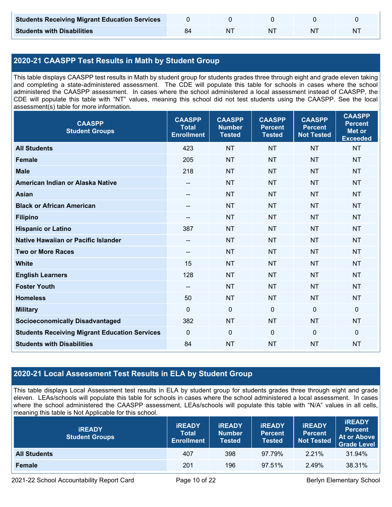| <b>Students Receiving Migrant Education Services</b> |  |    |   |
|------------------------------------------------------|--|----|---|
| <b>Students with Disabilities</b>                    |  | ΝI | N |

# **2020-21 CAASPP Test Results in Math by Student Group**

This table displays CAASPP test results in Math by student group for students grades three through eight and grade eleven taking and completing a state-administered assessment. The CDE will populate this table for schools in cases where the school administered the CAASPP assessment. In cases where the school administered a local assessment instead of CAASPP, the CDE will populate this table with "NT" values, meaning this school did not test students using the CAASPP. See the local assessment(s) table for more information.

| <b>CAASPP</b><br><b>Student Groups</b>               | <b>CAASPP</b><br><b>Total</b><br><b>Enrollment</b> | <b>CAASPP</b><br><b>Number</b><br><b>Tested</b> | <b>CAASPP</b><br><b>Percent</b><br><b>Tested</b> | <b>CAASPP</b><br><b>Percent</b><br><b>Not Tested</b> | <b>CAASPP</b><br><b>Percent</b><br><b>Met or</b><br><b>Exceeded</b> |
|------------------------------------------------------|----------------------------------------------------|-------------------------------------------------|--------------------------------------------------|------------------------------------------------------|---------------------------------------------------------------------|
| <b>All Students</b>                                  | 423                                                | <b>NT</b>                                       | <b>NT</b>                                        | <b>NT</b>                                            | <b>NT</b>                                                           |
| <b>Female</b>                                        | 205                                                | <b>NT</b>                                       | <b>NT</b>                                        | <b>NT</b>                                            | <b>NT</b>                                                           |
| <b>Male</b>                                          | 218                                                | <b>NT</b>                                       | <b>NT</b>                                        | <b>NT</b>                                            | <b>NT</b>                                                           |
| American Indian or Alaska Native                     | $\hspace{0.05cm}$ – $\hspace{0.05cm}$              | <b>NT</b>                                       | <b>NT</b>                                        | <b>NT</b>                                            | <b>NT</b>                                                           |
| <b>Asian</b>                                         | --                                                 | <b>NT</b>                                       | <b>NT</b>                                        | <b>NT</b>                                            | <b>NT</b>                                                           |
| <b>Black or African American</b>                     | $\hspace{0.05cm}$ – $\hspace{0.05cm}$              | <b>NT</b>                                       | <b>NT</b>                                        | <b>NT</b>                                            | <b>NT</b>                                                           |
| <b>Filipino</b>                                      |                                                    | <b>NT</b>                                       | <b>NT</b>                                        | <b>NT</b>                                            | <b>NT</b>                                                           |
| <b>Hispanic or Latino</b>                            | 387                                                | <b>NT</b>                                       | <b>NT</b>                                        | <b>NT</b>                                            | <b>NT</b>                                                           |
| <b>Native Hawaiian or Pacific Islander</b>           | $\overline{\phantom{m}}$                           | <b>NT</b>                                       | <b>NT</b>                                        | <b>NT</b>                                            | <b>NT</b>                                                           |
| <b>Two or More Races</b>                             | --                                                 | <b>NT</b>                                       | <b>NT</b>                                        | <b>NT</b>                                            | <b>NT</b>                                                           |
| <b>White</b>                                         | 15                                                 | <b>NT</b>                                       | <b>NT</b>                                        | <b>NT</b>                                            | <b>NT</b>                                                           |
| <b>English Learners</b>                              | 128                                                | <b>NT</b>                                       | <b>NT</b>                                        | <b>NT</b>                                            | <b>NT</b>                                                           |
| <b>Foster Youth</b>                                  | --                                                 | <b>NT</b>                                       | <b>NT</b>                                        | <b>NT</b>                                            | <b>NT</b>                                                           |
| <b>Homeless</b>                                      | 50                                                 | <b>NT</b>                                       | <b>NT</b>                                        | <b>NT</b>                                            | <b>NT</b>                                                           |
| <b>Military</b>                                      | $\mathbf 0$                                        | $\mathbf 0$                                     | $\mathbf 0$                                      | $\mathbf 0$                                          | $\mathbf 0$                                                         |
| <b>Socioeconomically Disadvantaged</b>               | 382                                                | <b>NT</b>                                       | <b>NT</b>                                        | <b>NT</b>                                            | <b>NT</b>                                                           |
| <b>Students Receiving Migrant Education Services</b> | $\mathbf 0$                                        | $\mathbf 0$                                     | $\mathbf 0$                                      | $\mathbf 0$                                          | $\mathbf 0$                                                         |
| <b>Students with Disabilities</b>                    | 84                                                 | <b>NT</b>                                       | <b>NT</b>                                        | <b>NT</b>                                            | <b>NT</b>                                                           |

# **2020-21 Local Assessment Test Results in ELA by Student Group**

This table displays Local Assessment test results in ELA by student group for students grades three through eight and grade eleven. LEAs/schools will populate this table for schools in cases where the school administered a local assessment. In cases where the school administered the CAASPP assessment, LEAs/schools will populate this table with "N/A" values in all cells, meaning this table is Not Applicable for this school.

| <b>IREADY</b><br><b>Student Groups</b> | <b>IREADY</b><br><b>Total</b><br><b>Enrollment</b> | <b><i>IREADY</i></b><br><b>Number</b><br><b>Tested</b> | <b>IREADY</b><br><b>Percent</b><br><b>Tested</b> | <b>IREADY</b><br><b>Percent</b><br><b>Not Tested</b> | <b>iREADY</b><br><b>Percent</b><br>At or Above<br><b>Grade Level</b> |
|----------------------------------------|----------------------------------------------------|--------------------------------------------------------|--------------------------------------------------|------------------------------------------------------|----------------------------------------------------------------------|
| <b>All Students</b>                    | 407                                                | 398                                                    | 97.79%                                           | 2.21%                                                | 31.94%                                                               |
| Female                                 | 201                                                | 196                                                    | 97.51%                                           | 2.49%                                                | 38.31%                                                               |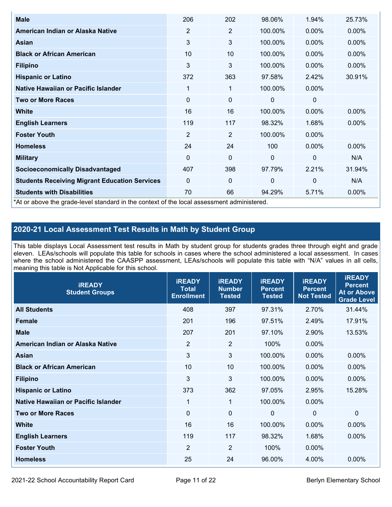| <b>Male</b>                                                                                | 206            | 202            | 98.06%       | 1.94%        | 25.73%   |
|--------------------------------------------------------------------------------------------|----------------|----------------|--------------|--------------|----------|
| American Indian or Alaska Native                                                           | $\overline{2}$ | $\overline{2}$ | 100.00%      | $0.00\%$     | 0.00%    |
| Asian                                                                                      | 3              | 3              | 100.00%      | $0.00\%$     | $0.00\%$ |
| <b>Black or African American</b>                                                           | 10             | 10             | 100.00%      | 0.00%        | 0.00%    |
| <b>Filipino</b>                                                                            | 3              | 3              | 100.00%      | 0.00%        | 0.00%    |
| <b>Hispanic or Latino</b>                                                                  | 372            | 363            | 97.58%       | 2.42%        | 30.91%   |
| Native Hawaiian or Pacific Islander                                                        | 1              | 1              | 100.00%      | $0.00\%$     |          |
| <b>Two or More Races</b>                                                                   | 0              | 0              | 0            | 0            |          |
| <b>White</b>                                                                               | 16             | 16             | 100.00%      | $0.00\%$     | $0.00\%$ |
| <b>English Learners</b>                                                                    | 119            | 117            | 98.32%       | 1.68%        | $0.00\%$ |
| <b>Foster Youth</b>                                                                        | $\overline{2}$ | $\overline{2}$ | 100.00%      | $0.00\%$     |          |
| <b>Homeless</b>                                                                            | 24             | 24             | 100          | 0.00%        | 0.00%    |
| <b>Military</b>                                                                            | $\Omega$       | 0              | $\mathbf{0}$ | $\mathbf{0}$ | N/A      |
| <b>Socioeconomically Disadvantaged</b>                                                     | 407            | 398            | 97.79%       | 2.21%        | 31.94%   |
| <b>Students Receiving Migrant Education Services</b>                                       | 0              | 0              | 0            | 0            | N/A      |
| <b>Students with Disabilities</b>                                                          | 70             | 66             | 94.29%       | 5.71%        | 0.00%    |
| *At or above the grade-level standard in the context of the local assessment administered. |                |                |              |              |          |

# **2020-21 Local Assessment Test Results in Math by Student Group**

This table displays Local Assessment test results in Math by student group for students grades three through eight and grade eleven. LEAs/schools will populate this table for schools in cases where the school administered a local assessment. In cases where the school administered the CAASPP assessment, LEAs/schools will populate this table with "N/A" values in all cells, meaning this table is Not Applicable for this school.

| <b>iREADY</b><br><b>Student Groups</b> | <b>IREADY</b><br><b>Total</b><br><b>Enrollment</b> | <b>iREADY</b><br><b>Number</b><br><b>Tested</b> | <b>iREADY</b><br><b>Percent</b><br><b>Tested</b> | <b>IREADY</b><br><b>Percent</b><br><b>Not Tested</b> | <b>IREADY</b><br><b>Percent</b><br><b>At or Above</b><br><b>Grade Level</b> |
|----------------------------------------|----------------------------------------------------|-------------------------------------------------|--------------------------------------------------|------------------------------------------------------|-----------------------------------------------------------------------------|
| <b>All Students</b>                    | 408                                                | 397                                             | 97.31%                                           | 2.70%                                                | 31.44%                                                                      |
| <b>Female</b>                          | 201                                                | 196                                             | 97.51%                                           | 2.49%                                                | 17.91%                                                                      |
| <b>Male</b>                            | 207                                                | 201                                             | 97.10%                                           | 2.90%                                                | 13.53%                                                                      |
| American Indian or Alaska Native       | $\overline{2}$                                     | $\overline{2}$                                  | 100%                                             | 0.00%                                                |                                                                             |
| Asian                                  | 3                                                  | $\mathbf{3}$                                    | 100.00%                                          | 0.00%                                                | 0.00%                                                                       |
| <b>Black or African American</b>       | 10                                                 | 10                                              | 100.00%                                          | 0.00%                                                | 0.00%                                                                       |
| <b>Filipino</b>                        | 3                                                  | 3                                               | 100.00%                                          | 0.00%                                                | $0.00\%$                                                                    |
| <b>Hispanic or Latino</b>              | 373                                                | 362                                             | 97.05%                                           | 2.95%                                                | 15.28%                                                                      |
| Native Hawaiian or Pacific Islander    | $\mathbf 1$                                        | $\mathbf{1}$                                    | 100.00%                                          | 0.00%                                                |                                                                             |
| <b>Two or More Races</b>               | $\Omega$                                           | $\mathbf 0$                                     | $\mathbf{0}$                                     | $\overline{0}$                                       | $\Omega$                                                                    |
| <b>White</b>                           | 16                                                 | 16                                              | 100.00%                                          | 0.00%                                                | $0.00\%$                                                                    |
| <b>English Learners</b>                | 119                                                | 117                                             | 98.32%                                           | 1.68%                                                | 0.00%                                                                       |
| <b>Foster Youth</b>                    | $\overline{2}$                                     | $\overline{2}$                                  | 100%                                             | 0.00%                                                |                                                                             |
| <b>Homeless</b>                        | 25                                                 | 24                                              | 96.00%                                           | 4.00%                                                | 0.00%                                                                       |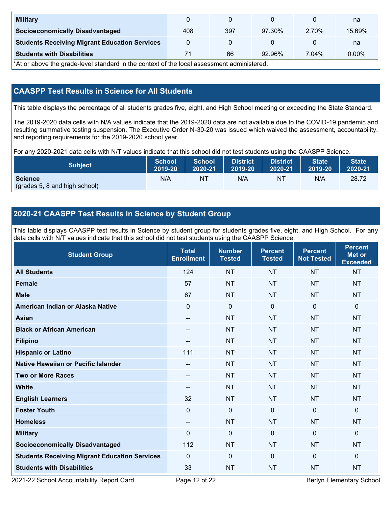| <b>Military</b>                                      |     |     |           |       | na     |
|------------------------------------------------------|-----|-----|-----------|-------|--------|
| <b>Socioeconomically Disadvantaged</b>               | 408 | 397 | 97.30%    | 2.70% | 15.69% |
| <b>Students Receiving Migrant Education Services</b> |     |     |           |       | na     |
| <b>Students with Disabilities</b>                    |     | 66  | $92.96\%$ | 7.04% | 0.00%  |

\*At or above the grade-level standard in the context of the local assessment administered.

# **CAASPP Test Results in Science for All Students**

This table displays the percentage of all students grades five, eight, and High School meeting or exceeding the State Standard.

The 2019-2020 data cells with N/A values indicate that the 2019-2020 data are not available due to the COVID-19 pandemic and resulting summative testing suspension. The Executive Order N-30-20 was issued which waived the assessment, accountability, and reporting requirements for the 2019-2020 school year.

For any 2020-2021 data cells with N/T values indicate that this school did not test students using the CAASPP Science.

| <b>Subject</b>                                  | <b>School</b> | <b>School</b> | <b>District</b> | District | <b>State</b> | <b>State</b> |
|-------------------------------------------------|---------------|---------------|-----------------|----------|--------------|--------------|
|                                                 | 2019-20       | 2020-21       | 2019-20         | 2020-21  | 2019-20      | 2020-21      |
| <b>Science</b><br>(grades 5, 8 and high school) | N/A           | ΝT            | N/A             | N1       | N/A          | 28.72        |

# **2020-21 CAASPP Test Results in Science by Student Group**

This table displays CAASPP test results in Science by student group for students grades five, eight, and High School. For any data cells with N/T values indicate that this school did not test students using the CAASPP Science.

| <b>Student Group</b>                                 | <b>Total</b><br><b>Enrollment</b> | <b>Number</b><br><b>Tested</b> | <b>Percent</b><br><b>Tested</b> | <b>Percent</b><br><b>Not Tested</b> | <b>Percent</b><br><b>Met or</b><br><b>Exceeded</b> |
|------------------------------------------------------|-----------------------------------|--------------------------------|---------------------------------|-------------------------------------|----------------------------------------------------|
| <b>All Students</b>                                  | 124                               | <b>NT</b>                      | <b>NT</b>                       | <b>NT</b>                           | <b>NT</b>                                          |
| Female                                               | 57                                | <b>NT</b>                      | <b>NT</b>                       | <b>NT</b>                           | <b>NT</b>                                          |
| <b>Male</b>                                          | 67                                | <b>NT</b>                      | <b>NT</b>                       | <b>NT</b>                           | <b>NT</b>                                          |
| American Indian or Alaska Native                     | $\mathbf 0$                       | $\pmb{0}$                      | $\mathbf 0$                     | $\overline{0}$                      | $\pmb{0}$                                          |
| <b>Asian</b>                                         | $\overline{\phantom{a}}$          | <b>NT</b>                      | <b>NT</b>                       | <b>NT</b>                           | <b>NT</b>                                          |
| <b>Black or African American</b>                     | $\qquad \qquad -$                 | <b>NT</b>                      | <b>NT</b>                       | <b>NT</b>                           | <b>NT</b>                                          |
| <b>Filipino</b>                                      | --                                | <b>NT</b>                      | <b>NT</b>                       | <b>NT</b>                           | <b>NT</b>                                          |
| <b>Hispanic or Latino</b>                            | 111                               | <b>NT</b>                      | <b>NT</b>                       | <b>NT</b>                           | <b>NT</b>                                          |
| Native Hawaiian or Pacific Islander                  | $-$                               | <b>NT</b>                      | <b>NT</b>                       | <b>NT</b>                           | <b>NT</b>                                          |
| <b>Two or More Races</b>                             | --                                | <b>NT</b>                      | <b>NT</b>                       | <b>NT</b>                           | <b>NT</b>                                          |
| <b>White</b>                                         | --                                | <b>NT</b>                      | <b>NT</b>                       | <b>NT</b>                           | <b>NT</b>                                          |
| <b>English Learners</b>                              | 32                                | <b>NT</b>                      | <b>NT</b>                       | <b>NT</b>                           | <b>NT</b>                                          |
| <b>Foster Youth</b>                                  | $\mathbf 0$                       | $\boldsymbol{0}$               | $\mathbf 0$                     | $\mathbf 0$                         | 0                                                  |
| <b>Homeless</b>                                      | $\qquad \qquad -$                 | <b>NT</b>                      | <b>NT</b>                       | <b>NT</b>                           | <b>NT</b>                                          |
| <b>Military</b>                                      | $\mathbf 0$                       | $\mathbf 0$                    | $\mathbf{0}$                    | $\mathbf 0$                         | 0                                                  |
| <b>Socioeconomically Disadvantaged</b>               | 112                               | <b>NT</b>                      | <b>NT</b>                       | <b>NT</b>                           | <b>NT</b>                                          |
| <b>Students Receiving Migrant Education Services</b> | $\mathbf{0}$                      | $\mathbf 0$                    | $\mathbf 0$                     | $\mathbf 0$                         | 0                                                  |
| <b>Students with Disabilities</b>                    | 33                                | <b>NT</b>                      | <b>NT</b>                       | <b>NT</b>                           | <b>NT</b>                                          |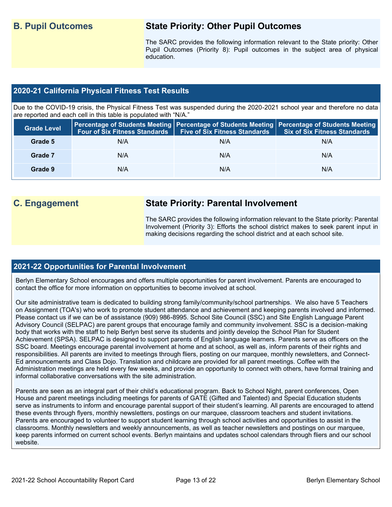# **B. Pupil Outcomes State Priority: Other Pupil Outcomes**

The SARC provides the following information relevant to the State priority: Other Pupil Outcomes (Priority 8): Pupil outcomes in the subject area of physical education.

# **2020-21 California Physical Fitness Test Results**

Due to the COVID-19 crisis, the Physical Fitness Test was suspended during the 2020-2021 school year and therefore no data are reported and each cell in this table is populated with "N/A."

| <b>Grade Level</b> |     | Four of Six Fitness Standards   Five of Six Fitness Standards | <b>Percentage of Students Meeting   Percentage of Students Meeting   Percentage of Students Meeting  </b><br><b>Six of Six Fitness Standards</b> |
|--------------------|-----|---------------------------------------------------------------|--------------------------------------------------------------------------------------------------------------------------------------------------|
| Grade 5            | N/A | N/A                                                           | N/A                                                                                                                                              |
| Grade 7            | N/A | N/A                                                           | N/A                                                                                                                                              |
| Grade 9            | N/A | N/A                                                           | N/A                                                                                                                                              |

# **C. Engagement State Priority: Parental Involvement**

The SARC provides the following information relevant to the State priority: Parental Involvement (Priority 3): Efforts the school district makes to seek parent input in making decisions regarding the school district and at each school site.

# **2021-22 Opportunities for Parental Involvement**

Berlyn Elementary School encourages and offers multiple opportunities for parent involvement. Parents are encouraged to contact the office for more information on opportunities to become involved at school.

Our site administrative team is dedicated to building strong family/community/school partnerships. We also have 5 Teachers on Assignment (TOA's) who work to promote student attendance and achievement and keeping parents involved and informed. Please contact us if we can be of assistance (909) 986-8995. School Site Council (SSC) and Site English Language Parent Advisory Council (SELPAC) are parent groups that encourage family and community involvement. SSC is a decision-making body that works with the staff to help Berlyn best serve its students and jointly develop the School Plan for Student Achievement (SPSA). SELPAC is designed to support parents of English language learners. Parents serve as officers on the SSC board. Meetings encourage parental involvement at home and at school, as well as, inform parents of their rights and responsibilities. All parents are invited to meetings through fliers, posting on our marquee, monthly newsletters, and Connect-Ed announcements and Class Dojo. Translation and childcare are provided for all parent meetings. Coffee with the Administration meetings are held every few weeks, and provide an opportunity to connect with others, have formal training and informal collaborative conversations with the site administration.

Parents are seen as an integral part of their child's educational program. Back to School Night, parent conferences, Open House and parent meetings including meetings for parents of GATE (Gifted and Talented) and Special Education students serve as instruments to inform and encourage parental support of their student's learning. All parents are encouraged to attend these events through flyers, monthly newsletters, postings on our marquee, classroom teachers and student invitations. Parents are encouraged to volunteer to support student learning through school activities and opportunities to assist in the classrooms. Monthly newsletters and weekly announcements, as well as teacher newsletters and postings on our marquee, keep parents informed on current school events. Berlyn maintains and updates school calendars through fliers and our school website.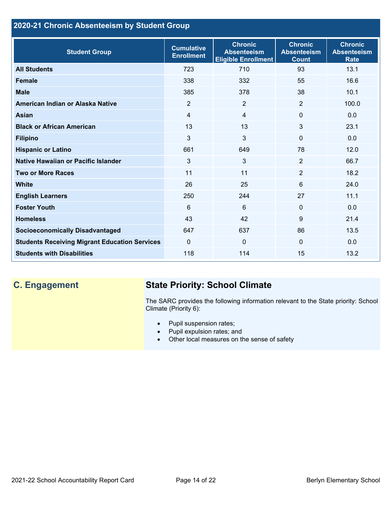# **2020-21 Chronic Absenteeism by Student Group**

| <b>Student Group</b>                                 | <b>Cumulative</b><br><b>Enrollment</b> | <b>Chronic</b><br><b>Absenteeism</b><br><b>Eligible Enrollment</b> | <b>Chronic</b><br><b>Absenteeism</b><br><b>Count</b> | <b>Chronic</b><br><b>Absenteeism</b><br><b>Rate</b> |
|------------------------------------------------------|----------------------------------------|--------------------------------------------------------------------|------------------------------------------------------|-----------------------------------------------------|
| <b>All Students</b>                                  | 723                                    | 710                                                                | 93                                                   | 13.1                                                |
| <b>Female</b>                                        | 338                                    | 332                                                                | 55                                                   | 16.6                                                |
| <b>Male</b>                                          | 385                                    | 378                                                                | 38                                                   | 10.1                                                |
| American Indian or Alaska Native                     | 2                                      | $\overline{2}$                                                     | 2                                                    | 100.0                                               |
| <b>Asian</b>                                         | $\overline{4}$                         | $\overline{4}$                                                     | $\mathbf 0$                                          | 0.0                                                 |
| <b>Black or African American</b>                     | 13                                     | 13                                                                 | 3                                                    | 23.1                                                |
| <b>Filipino</b>                                      | 3                                      | 3                                                                  | $\mathbf{0}$                                         | 0.0                                                 |
| <b>Hispanic or Latino</b>                            | 661                                    | 649                                                                | 78                                                   | 12.0                                                |
| Native Hawaiian or Pacific Islander                  | 3                                      | 3                                                                  | 2                                                    | 66.7                                                |
| <b>Two or More Races</b>                             | 11                                     | 11                                                                 | 2                                                    | 18.2                                                |
| <b>White</b>                                         | 26                                     | 25                                                                 | 6                                                    | 24.0                                                |
| <b>English Learners</b>                              | 250                                    | 244                                                                | 27                                                   | 11.1                                                |
| <b>Foster Youth</b>                                  | 6                                      | 6                                                                  | $\Omega$                                             | 0.0                                                 |
| <b>Homeless</b>                                      | 43                                     | 42                                                                 | 9                                                    | 21.4                                                |
| <b>Socioeconomically Disadvantaged</b>               | 647                                    | 637                                                                | 86                                                   | 13.5                                                |
| <b>Students Receiving Migrant Education Services</b> | $\mathbf{0}$                           | $\mathbf 0$                                                        | $\mathbf{0}$                                         | 0.0                                                 |
| <b>Students with Disabilities</b>                    | 118                                    | 114                                                                | 15                                                   | 13.2                                                |

# **C. Engagement State Priority: School Climate**

The SARC provides the following information relevant to the State priority: School Climate (Priority 6):

- Pupil suspension rates;
- Pupil expulsion rates; and
- Other local measures on the sense of safety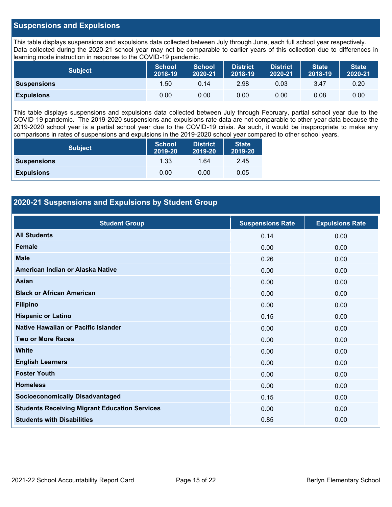# **Suspensions and Expulsions**

This table displays suspensions and expulsions data collected between July through June, each full school year respectively. Data collected during the 2020-21 school year may not be comparable to earlier years of this collection due to differences in learning mode instruction in response to the COVID-19 pandemic.

| <b>Subject</b>     | <b>School</b><br>2018-19 | <b>School</b><br>2020-21 | <b>District</b><br>2018-19 | <b>District</b><br>2020-21 | <b>State</b><br>2018-19 | <b>State</b><br>2020-21 |
|--------------------|--------------------------|--------------------------|----------------------------|----------------------------|-------------------------|-------------------------|
| <b>Suspensions</b> | 1.50                     | 0.14                     | 2.98                       | 0.03                       | 3.47                    | 0.20                    |
| <b>Expulsions</b>  | 0.00                     | 0.00                     | 0.00                       | 0.00                       | 0.08                    | 0.00                    |

This table displays suspensions and expulsions data collected between July through February, partial school year due to the COVID-19 pandemic. The 2019-2020 suspensions and expulsions rate data are not comparable to other year data because the 2019-2020 school year is a partial school year due to the COVID-19 crisis. As such, it would be inappropriate to make any comparisons in rates of suspensions and expulsions in the 2019-2020 school year compared to other school years.

| <b>Subject</b>     | School<br>2019-20 | <b>District</b><br>2019-20 | <b>State</b><br>2019-20 |
|--------------------|-------------------|----------------------------|-------------------------|
| <b>Suspensions</b> | 1.33              | 1.64                       | 2.45                    |
| <b>Expulsions</b>  | 0.00              | 0.00                       | 0.05                    |

# **2020-21 Suspensions and Expulsions by Student Group**

| <b>Student Group</b>                                 | <b>Suspensions Rate</b> | <b>Expulsions Rate</b> |
|------------------------------------------------------|-------------------------|------------------------|
| <b>All Students</b>                                  | 0.14                    | 0.00                   |
| <b>Female</b>                                        | 0.00                    | 0.00                   |
| <b>Male</b>                                          | 0.26                    | 0.00                   |
| American Indian or Alaska Native                     | 0.00                    | 0.00                   |
| <b>Asian</b>                                         | 0.00                    | 0.00                   |
| <b>Black or African American</b>                     | 0.00                    | 0.00                   |
| <b>Filipino</b>                                      | 0.00                    | 0.00                   |
| <b>Hispanic or Latino</b>                            | 0.15                    | 0.00                   |
| Native Hawaiian or Pacific Islander                  | 0.00                    | 0.00                   |
| <b>Two or More Races</b>                             | 0.00                    | 0.00                   |
| <b>White</b>                                         | 0.00                    | 0.00                   |
| <b>English Learners</b>                              | 0.00                    | 0.00                   |
| <b>Foster Youth</b>                                  | 0.00                    | 0.00                   |
| <b>Homeless</b>                                      | 0.00                    | 0.00                   |
| <b>Socioeconomically Disadvantaged</b>               | 0.15                    | 0.00                   |
| <b>Students Receiving Migrant Education Services</b> | 0.00                    | 0.00                   |
| <b>Students with Disabilities</b>                    | 0.85                    | 0.00                   |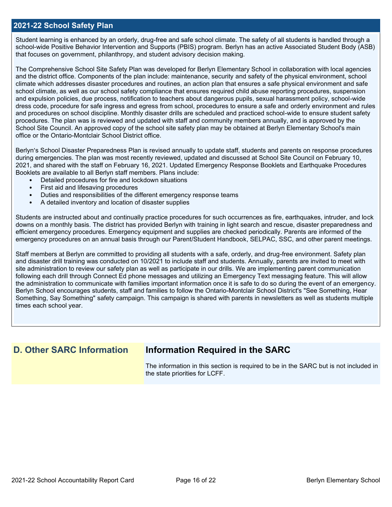### **2021-22 School Safety Plan**

Student learning is enhanced by an orderly, drug-free and safe school climate. The safety of all students is handled through a school-wide Positive Behavior Intervention and Supports (PBIS) program. Berlyn has an active Associated Student Body (ASB) that focuses on government, philanthropy, and student advisory decision making.

The Comprehensive School Site Safety Plan was developed for Berlyn Elementary School in collaboration with local agencies and the district office. Components of the plan include: maintenance, security and safety of the physical environment, school climate which addresses disaster procedures and routines, an action plan that ensures a safe physical environment and safe school climate, as well as our school safety compliance that ensures required child abuse reporting procedures, suspension and expulsion policies, due process, notification to teachers about dangerous pupils, sexual harassment policy, school-wide dress code, procedure for safe ingress and egress from school, procedures to ensure a safe and orderly environment and rules and procedures on school discipline. Monthly disaster drills are scheduled and practiced school-wide to ensure student safety procedures. The plan was is reviewed and updated with staff and community members annually, and is approved by the School Site Council. An approved copy of the school site safety plan may be obtained at Berlyn Elementary School's main office or the Ontario-Montclair School District office.

Berlyn's School Disaster Preparedness Plan is revised annually to update staff, students and parents on response procedures during emergencies. The plan was most recently reviewed, updated and discussed at School Site Council on February 10, 2021, and shared with the staff on February 16, 2021. Updated Emergency Response Booklets and Earthquake Procedures Booklets are available to all Berlyn staff members. Plans include:

- Detailed procedures for fire and lockdown situations
- First aid and lifesaving procedures
- Duties and responsibilities of the different emergency response teams
- A detailed inventory and location of disaster supplies

Students are instructed about and continually practice procedures for such occurrences as fire, earthquakes, intruder, and lock downs on a monthly basis. The district has provided Berlyn with training in light search and rescue, disaster preparedness and efficient emergency procedures. Emergency equipment and supplies are checked periodically. Parents are informed of the emergency procedures on an annual basis through our Parent/Student Handbook, SELPAC, SSC, and other parent meetings.

Staff members at Berlyn are committed to providing all students with a safe, orderly, and drug-free environment. Safety plan and disaster drill training was conducted on 10/2021 to include staff and students. Annually, parents are invited to meet with site administration to review our safety plan as well as participate in our drills. We are implementing parent communication following each drill through Connect Ed phone messages and utilizing an Emergency Text messaging feature. This will allow the administration to communicate with families important information once it is safe to do so during the event of an emergency. Berlyn School encourages students, staff and families to follow the Ontario-Montclair School District's "See Something, Hear Something, Say Something" safety campaign. This campaign is shared with parents in newsletters as well as students multiple times each school year.

# **D. Other SARC Information Information Required in the SARC**

The information in this section is required to be in the SARC but is not included in the state priorities for LCFF.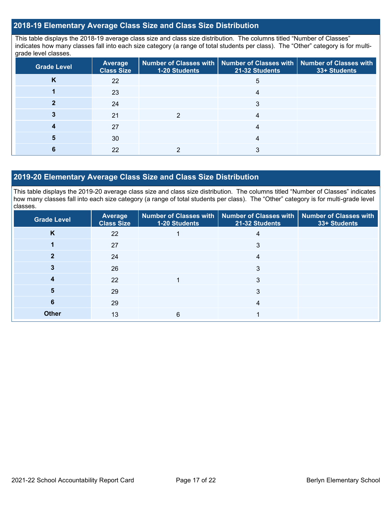# **2018-19 Elementary Average Class Size and Class Size Distribution**

This table displays the 2018-19 average class size and class size distribution. The columns titled "Number of Classes" indicates how many classes fall into each size category (a range of total students per class). The "Other" category is for multigrade level classes.

| <b>Grade Level</b> | <b>Average</b><br><b>Class Size</b> | <b>1-20 Students</b> | Number of Classes with   Number of Classes with   Number of Classes with<br>21-32 Students | 33+ Students |
|--------------------|-------------------------------------|----------------------|--------------------------------------------------------------------------------------------|--------------|
| Κ                  | 22                                  |                      | 5                                                                                          |              |
|                    | 23                                  |                      |                                                                                            |              |
|                    | 24                                  |                      | 3                                                                                          |              |
|                    | 21                                  |                      |                                                                                            |              |
|                    | 27                                  |                      |                                                                                            |              |
|                    | 30                                  |                      | 4                                                                                          |              |
|                    | 22                                  |                      |                                                                                            |              |

### **2019-20 Elementary Average Class Size and Class Size Distribution**

This table displays the 2019-20 average class size and class size distribution. The columns titled "Number of Classes" indicates how many classes fall into each size category (a range of total students per class). The "Other" category is for multi-grade level classes.

| <b>Grade Level</b> | Average<br><b>Class Size</b> | 1-20 Students | Number of Classes with   Number of Classes with   Number of Classes with<br>21-32 Students | 33+ Students |
|--------------------|------------------------------|---------------|--------------------------------------------------------------------------------------------|--------------|
| K                  | 22                           |               | 4                                                                                          |              |
|                    | 27                           |               | 3                                                                                          |              |
|                    | 24                           |               | 4                                                                                          |              |
|                    | 26                           |               | 3                                                                                          |              |
|                    | 22                           |               | 3                                                                                          |              |
| 5                  | 29                           |               | 3                                                                                          |              |
| 6                  | 29                           |               | 4                                                                                          |              |
| <b>Other</b>       | 13                           | 6             |                                                                                            |              |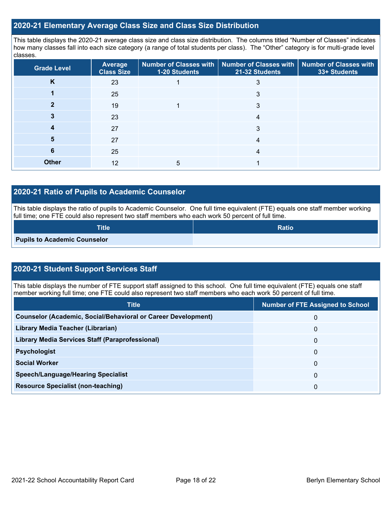## **2020-21 Elementary Average Class Size and Class Size Distribution**

This table displays the 2020-21 average class size and class size distribution. The columns titled "Number of Classes" indicates how many classes fall into each size category (a range of total students per class). The "Other" category is for multi-grade level classes.

| <b>Grade Level</b> | Average<br><b>Class Size</b> | 1-20 Students | Number of Classes with   Number of Classes with  <br>21-32 Students | <b>Number of Classes with</b><br>33+ Students |
|--------------------|------------------------------|---------------|---------------------------------------------------------------------|-----------------------------------------------|
| K                  | 23                           |               |                                                                     |                                               |
|                    | 25                           |               |                                                                     |                                               |
|                    | 19                           |               | 3                                                                   |                                               |
|                    | 23                           |               | 4                                                                   |                                               |
|                    | 27                           |               | 3                                                                   |                                               |
| 5                  | 27                           |               | 4                                                                   |                                               |
| 6                  | 25                           |               | 4                                                                   |                                               |
| <b>Other</b>       | 12                           | 5             |                                                                     |                                               |

# **2020-21 Ratio of Pupils to Academic Counselor**

This table displays the ratio of pupils to Academic Counselor. One full time equivalent (FTE) equals one staff member working full time; one FTE could also represent two staff members who each work 50 percent of full time.

| <b>Title</b>                        | <b>Ratio</b> |
|-------------------------------------|--------------|
| <b>Pupils to Academic Counselor</b> |              |

# **2020-21 Student Support Services Staff**

This table displays the number of FTE support staff assigned to this school. One full time equivalent (FTE) equals one staff member working full time; one FTE could also represent two staff members who each work 50 percent of full time.

| <b>Title</b>                                                         | <b>Number of FTE Assigned to School</b> |
|----------------------------------------------------------------------|-----------------------------------------|
| <b>Counselor (Academic, Social/Behavioral or Career Development)</b> | 0                                       |
| Library Media Teacher (Librarian)                                    | 0                                       |
| Library Media Services Staff (Paraprofessional)                      | 0                                       |
| <b>Psychologist</b>                                                  | 0                                       |
| <b>Social Worker</b>                                                 | 0                                       |
| <b>Speech/Language/Hearing Specialist</b>                            | 0                                       |
| <b>Resource Specialist (non-teaching)</b>                            | 0                                       |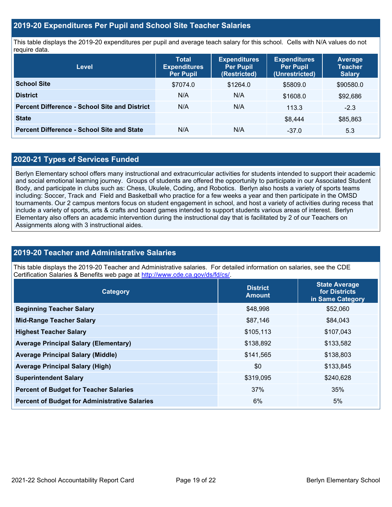# **2019-20 Expenditures Per Pupil and School Site Teacher Salaries**

This table displays the 2019-20 expenditures per pupil and average teach salary for this school. Cells with N/A values do not require data.

| <b>Level</b>                                         | <b>Total</b><br><b>Expenditures</b><br><b>Per Pupil</b> | <b>Expenditures</b><br><b>Per Pupil</b><br>(Restricted) | <b>Expenditures</b><br><b>Per Pupil</b><br>(Unrestricted) | <b>Average</b><br><b>Teacher</b><br><b>Salary</b> |
|------------------------------------------------------|---------------------------------------------------------|---------------------------------------------------------|-----------------------------------------------------------|---------------------------------------------------|
| <b>School Site</b>                                   | \$7074.0                                                | \$1264.0                                                | \$5809.0                                                  | \$90580.0                                         |
| <b>District</b>                                      | N/A                                                     | N/A                                                     | \$1608.0                                                  | \$92,686                                          |
| <b>Percent Difference - School Site and District</b> | N/A                                                     | N/A                                                     | 113.3                                                     | $-2.3$                                            |
| <b>State</b>                                         |                                                         |                                                         | \$8.444                                                   | \$85,863                                          |
| <b>Percent Difference - School Site and State</b>    | N/A                                                     | N/A                                                     | $-37.0$                                                   | 5.3                                               |

# **2020-21 Types of Services Funded**

Berlyn Elementary school offers many instructional and extracurricular activities for students intended to support their academic and social emotional learning journey. Groups of students are offered the opportunity to participate in our Associated Student Body, and participate in clubs such as: Chess, Ukulele, Coding, and Robotics. Berlyn also hosts a variety of sports teams including: Soccer, Track and Field and Basketball who practice for a few weeks a year and then participate in the OMSD tournaments. Our 2 campus mentors focus on student engagement in school, and host a variety of activities during recess that include a variety of sports, arts & crafts and board games intended to support students various areas of interest. Berlyn Elementary also offers an academic intervention during the instructional day that is facilitated by 2 of our Teachers on Assignments along with 3 instructional aides.

# **2019-20 Teacher and Administrative Salaries**

This table displays the 2019-20 Teacher and Administrative salaries. For detailed information on salaries, see the CDE Certification Salaries & Benefits web page at [http://www.cde.ca.gov/ds/fd/cs/.](http://www.cde.ca.gov/ds/fd/cs/)

| <b>Category</b>                                      | <b>District</b><br><b>Amount</b> | <b>State Average</b><br>for Districts<br>in Same Category |
|------------------------------------------------------|----------------------------------|-----------------------------------------------------------|
| <b>Beginning Teacher Salary</b>                      | \$48,998                         | \$52,060                                                  |
| <b>Mid-Range Teacher Salary</b>                      | \$87,146                         | \$84,043                                                  |
| <b>Highest Teacher Salary</b>                        | \$105,113                        | \$107,043                                                 |
| <b>Average Principal Salary (Elementary)</b>         | \$138,892                        | \$133,582                                                 |
| <b>Average Principal Salary (Middle)</b>             | \$141,565                        | \$138,803                                                 |
| <b>Average Principal Salary (High)</b>               | \$0                              | \$133,845                                                 |
| <b>Superintendent Salary</b>                         | \$319,095                        | \$240,628                                                 |
| <b>Percent of Budget for Teacher Salaries</b>        | 37%                              | 35%                                                       |
| <b>Percent of Budget for Administrative Salaries</b> | 6%                               | 5%                                                        |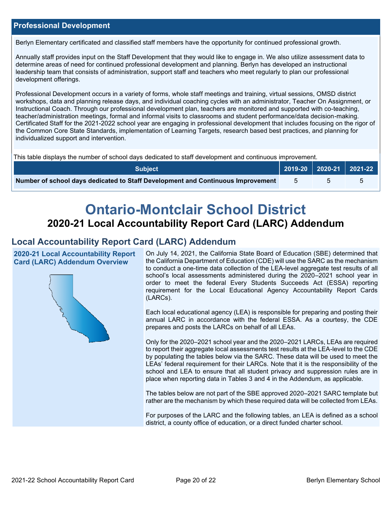# **Professional Development**

Berlyn Elementary certificated and classified staff members have the opportunity for continued professional growth.

Annually staff provides input on the Staff Development that they would like to engage in. We also utilize assessment data to determine areas of need for continued professional development and planning. Berlyn has developed an instructional leadership team that consists of administration, support staff and teachers who meet regularly to plan our professional development offerings.

Professional Development occurs in a variety of forms, whole staff meetings and training, virtual sessions, OMSD district workshops, data and planning release days, and individual coaching cycles with an administrator, Teacher On Assignment, or Instructional Coach. Through our professional development plan, teachers are monitored and supported with co-teaching, teacher/administration meetings, formal and informal visits to classrooms and student performance/data decision-making. Certificated Staff for the 2021-2022 school year are engaging in professional development that includes focusing on the rigor of the Common Core State Standards, implementation of Learning Targets, research based best practices, and planning for individualized support and intervention.

This table displays the number of school days dedicated to staff development and continuous improvement.

| <b>Subject</b>                                                                  | 2019-20   2020-21   2021-22 |  |
|---------------------------------------------------------------------------------|-----------------------------|--|
| Number of school days dedicated to Staff Development and Continuous Improvement |                             |  |

# **Ontario-Montclair School District 2020-21 Local Accountability Report Card (LARC) Addendum**

# **Local Accountability Report Card (LARC) Addendum**

**2020-21 Local Accountability Report Card (LARC) Addendum Overview**



On July 14, 2021, the California State Board of Education (SBE) determined that the California Department of Education (CDE) will use the SARC as the mechanism to conduct a one-time data collection of the LEA-level aggregate test results of all school's local assessments administered during the 2020–2021 school year in order to meet the federal Every Students Succeeds Act (ESSA) reporting requirement for the Local Educational Agency Accountability Report Cards (LARCs).

Each local educational agency (LEA) is responsible for preparing and posting their annual LARC in accordance with the federal ESSA. As a courtesy, the CDE prepares and posts the LARCs on behalf of all LEAs.

Only for the 2020–2021 school year and the 2020–2021 LARCs, LEAs are required to report their aggregate local assessments test results at the LEA-level to the CDE by populating the tables below via the SARC. These data will be used to meet the LEAs' federal requirement for their LARCs. Note that it is the responsibility of the school and LEA to ensure that all student privacy and suppression rules are in place when reporting data in Tables 3 and 4 in the Addendum, as applicable.

The tables below are not part of the SBE approved 2020–2021 SARC template but rather are the mechanism by which these required data will be collected from LEAs.

For purposes of the LARC and the following tables, an LEA is defined as a school district, a county office of education, or a direct funded charter school.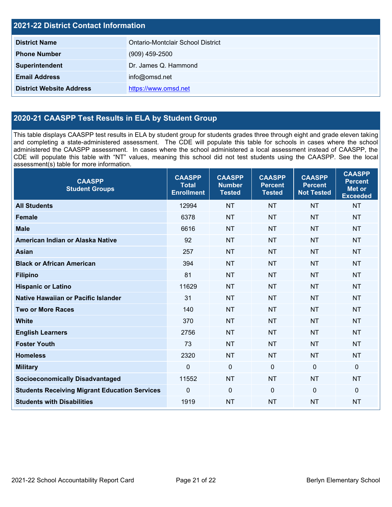| <b>2021-22 District Contact Information</b> |                                   |  |
|---------------------------------------------|-----------------------------------|--|
| <b>District Name</b>                        | Ontario-Montclair School District |  |
| <b>Phone Number</b>                         | $(909)$ 459-2500                  |  |
| Superintendent                              | Dr. James Q. Hammond              |  |
| <b>Email Address</b>                        | info@omsd.net                     |  |
| <b>District Website Address</b>             | https://www.omsd.net              |  |

# **2020-21 CAASPP Test Results in ELA by Student Group**

This table displays CAASPP test results in ELA by student group for students grades three through eight and grade eleven taking and completing a state-administered assessment. The CDE will populate this table for schools in cases where the school administered the CAASPP assessment. In cases where the school administered a local assessment instead of CAASPP, the CDE will populate this table with "NT" values, meaning this school did not test students using the CAASPP. See the local assessment(s) table for more information.

| <b>CAASPP</b><br><b>Student Groups</b>               | <b>CAASPP</b><br><b>Total</b><br><b>Enrollment</b> | <b>CAASPP</b><br><b>Number</b><br><b>Tested</b> | <b>CAASPP</b><br><b>Percent</b><br><b>Tested</b> | <b>CAASPP</b><br><b>Percent</b><br><b>Not Tested</b> | <b>CAASPP</b><br><b>Percent</b><br><b>Met or</b><br><b>Exceeded</b> |
|------------------------------------------------------|----------------------------------------------------|-------------------------------------------------|--------------------------------------------------|------------------------------------------------------|---------------------------------------------------------------------|
| <b>All Students</b>                                  | 12994                                              | <b>NT</b>                                       | <b>NT</b>                                        | <b>NT</b>                                            | <b>NT</b>                                                           |
| <b>Female</b>                                        | 6378                                               | <b>NT</b>                                       | <b>NT</b>                                        | <b>NT</b>                                            | <b>NT</b>                                                           |
| <b>Male</b>                                          | 6616                                               | <b>NT</b>                                       | <b>NT</b>                                        | <b>NT</b>                                            | <b>NT</b>                                                           |
| American Indian or Alaska Native                     | 92                                                 | <b>NT</b>                                       | <b>NT</b>                                        | <b>NT</b>                                            | <b>NT</b>                                                           |
| <b>Asian</b>                                         | 257                                                | <b>NT</b>                                       | <b>NT</b>                                        | <b>NT</b>                                            | <b>NT</b>                                                           |
| <b>Black or African American</b>                     | 394                                                | <b>NT</b>                                       | <b>NT</b>                                        | <b>NT</b>                                            | <b>NT</b>                                                           |
| <b>Filipino</b>                                      | 81                                                 | <b>NT</b>                                       | <b>NT</b>                                        | <b>NT</b>                                            | <b>NT</b>                                                           |
| <b>Hispanic or Latino</b>                            | 11629                                              | <b>NT</b>                                       | <b>NT</b>                                        | <b>NT</b>                                            | <b>NT</b>                                                           |
| <b>Native Hawaiian or Pacific Islander</b>           | 31                                                 | <b>NT</b>                                       | <b>NT</b>                                        | <b>NT</b>                                            | <b>NT</b>                                                           |
| <b>Two or More Races</b>                             | 140                                                | <b>NT</b>                                       | <b>NT</b>                                        | <b>NT</b>                                            | <b>NT</b>                                                           |
| <b>White</b>                                         | 370                                                | <b>NT</b>                                       | <b>NT</b>                                        | <b>NT</b>                                            | <b>NT</b>                                                           |
| <b>English Learners</b>                              | 2756                                               | <b>NT</b>                                       | <b>NT</b>                                        | <b>NT</b>                                            | <b>NT</b>                                                           |
| <b>Foster Youth</b>                                  | 73                                                 | <b>NT</b>                                       | <b>NT</b>                                        | <b>NT</b>                                            | <b>NT</b>                                                           |
| <b>Homeless</b>                                      | 2320                                               | <b>NT</b>                                       | <b>NT</b>                                        | <b>NT</b>                                            | <b>NT</b>                                                           |
| <b>Military</b>                                      | $\mathbf 0$                                        | $\mathbf 0$                                     | $\mathbf 0$                                      | $\overline{0}$                                       | $\mathbf 0$                                                         |
| <b>Socioeconomically Disadvantaged</b>               | 11552                                              | <b>NT</b>                                       | <b>NT</b>                                        | <b>NT</b>                                            | <b>NT</b>                                                           |
| <b>Students Receiving Migrant Education Services</b> | $\mathbf 0$                                        | $\pmb{0}$                                       | $\mathbf{0}$                                     | $\Omega$                                             | $\mathbf 0$                                                         |
| <b>Students with Disabilities</b>                    | 1919                                               | <b>NT</b>                                       | <b>NT</b>                                        | <b>NT</b>                                            | <b>NT</b>                                                           |